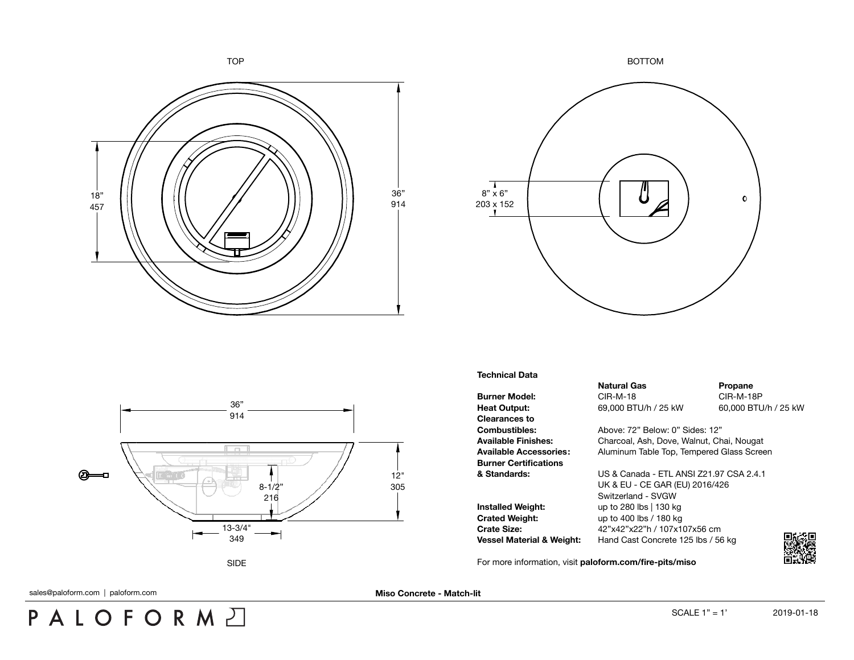





**Technical Data**

**Burner Model:** CIR-M-18 CIR-M-18 CIR-M-18P **Heat Output:** 69,000 BTU/h / 25 kW 60,000 BTU/h / 25 kW **Clearances to Burner Certifications**

**Installed Weight:** up to 280 lbs | 130 kg **Crated Weight:** up to 400 lbs / 180 kg

For more information, visit **[paloform.com/fire-pits/miso](http://paloform.com/fire-pits/miso)**

**Natural Gas Propane** 

**Combustibles:** Above: 72" Below: 0" Sides: 12" **Available Finishes:** Charcoal, Ash, Dove, Walnut, Chai, Nougat **Available Accessories:** Aluminum Table Top, Tempered Glass Screen

**& Standards:** US & Canada - ETL ANSI Z21.97 CSA 2.4.1 UK & EU - CE GAR (EU) 2016/426 Switzerland - SVGW **Crate Size:** 42"x42"x22"h / 107x107x56 cm **Vessel Material & Weight:** Hand Cast Concrete 125 lbs / 56 kg

PALOFORMA

sales@paloform.com | paloform.com **Miso Concrete - Match-lit**